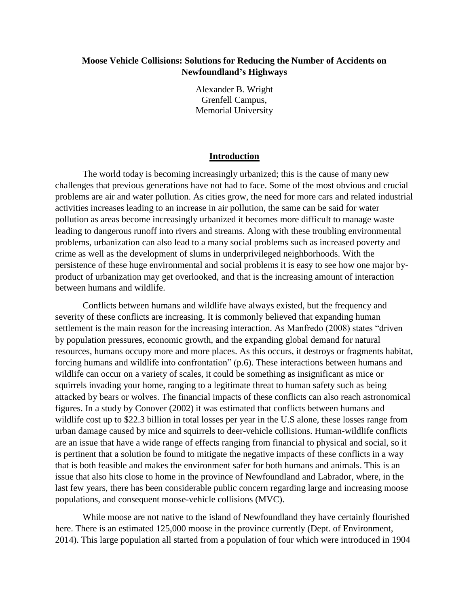# **Moose Vehicle Collisions: Solutions for Reducing the Number of Accidents on Newfoundland's Highways**

Alexander B. Wright Grenfell Campus, Memorial University

## **Introduction**

The world today is becoming increasingly urbanized; this is the cause of many new challenges that previous generations have not had to face. Some of the most obvious and crucial problems are air and water pollution. As cities grow, the need for more cars and related industrial activities increases leading to an increase in air pollution, the same can be said for water pollution as areas become increasingly urbanized it becomes more difficult to manage waste leading to dangerous runoff into rivers and streams. Along with these troubling environmental problems, urbanization can also lead to a many social problems such as increased poverty and crime as well as the development of slums in underprivileged neighborhoods. With the persistence of these huge environmental and social problems it is easy to see how one major byproduct of urbanization may get overlooked, and that is the increasing amount of interaction between humans and wildlife.

Conflicts between humans and wildlife have always existed, but the frequency and severity of these conflicts are increasing. It is commonly believed that expanding human settlement is the main reason for the increasing interaction. As Manfredo (2008) states "driven by population pressures, economic growth, and the expanding global demand for natural resources, humans occupy more and more places. As this occurs, it destroys or fragments habitat, forcing humans and wildlife into confrontation" (p.6). These interactions between humans and wildlife can occur on a variety of scales, it could be something as insignificant as mice or squirrels invading your home, ranging to a legitimate threat to human safety such as being attacked by bears or wolves. The financial impacts of these conflicts can also reach astronomical figures. In a study by Conover (2002) it was estimated that conflicts between humans and wildlife cost up to \$22.3 billion in total losses per year in the U.S alone, these losses range from urban damage caused by mice and squirrels to deer-vehicle collisions. Human-wildlife conflicts are an issue that have a wide range of effects ranging from financial to physical and social, so it is pertinent that a solution be found to mitigate the negative impacts of these conflicts in a way that is both feasible and makes the environment safer for both humans and animals. This is an issue that also hits close to home in the province of Newfoundland and Labrador, where, in the last few years, there has been considerable public concern regarding large and increasing moose populations, and consequent moose-vehicle collisions (MVC).

While moose are not native to the island of Newfoundland they have certainly flourished here. There is an estimated 125,000 moose in the province currently (Dept. of Environment, 2014). This large population all started from a population of four which were introduced in 1904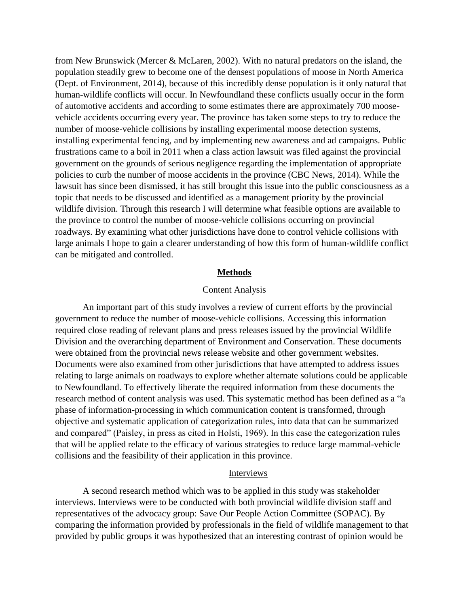from New Brunswick (Mercer & McLaren, 2002). With no natural predators on the island, the population steadily grew to become one of the densest populations of moose in North America (Dept. of Environment, 2014), because of this incredibly dense population is it only natural that human-wildlife conflicts will occur. In Newfoundland these conflicts usually occur in the form of automotive accidents and according to some estimates there are approximately 700 moosevehicle accidents occurring every year. The province has taken some steps to try to reduce the number of moose-vehicle collisions by installing experimental moose detection systems, installing experimental fencing, and by implementing new awareness and ad campaigns. Public frustrations came to a boil in 2011 when a class action lawsuit was filed against the provincial government on the grounds of serious negligence regarding the implementation of appropriate policies to curb the number of moose accidents in the province (CBC News, 2014). While the lawsuit has since been dismissed, it has still brought this issue into the public consciousness as a topic that needs to be discussed and identified as a management priority by the provincial wildlife division. Through this research I will determine what feasible options are available to the province to control the number of moose-vehicle collisions occurring on provincial roadways. By examining what other jurisdictions have done to control vehicle collisions with large animals I hope to gain a clearer understanding of how this form of human-wildlife conflict can be mitigated and controlled.

#### **Methods**

#### Content Analysis

An important part of this study involves a review of current efforts by the provincial government to reduce the number of moose-vehicle collisions. Accessing this information required close reading of relevant plans and press releases issued by the provincial Wildlife Division and the overarching department of Environment and Conservation. These documents were obtained from the provincial news release website and other government websites. Documents were also examined from other jurisdictions that have attempted to address issues relating to large animals on roadways to explore whether alternate solutions could be applicable to Newfoundland. To effectively liberate the required information from these documents the research method of content analysis was used. This systematic method has been defined as a "a phase of information-processing in which communication content is transformed, through objective and systematic application of categorization rules, into data that can be summarized and compared" (Paisley, in press as cited in Holsti, 1969). In this case the categorization rules that will be applied relate to the efficacy of various strategies to reduce large mammal-vehicle collisions and the feasibility of their application in this province.

# Interviews

A second research method which was to be applied in this study was stakeholder interviews. Interviews were to be conducted with both provincial wildlife division staff and representatives of the advocacy group: Save Our People Action Committee (SOPAC). By comparing the information provided by professionals in the field of wildlife management to that provided by public groups it was hypothesized that an interesting contrast of opinion would be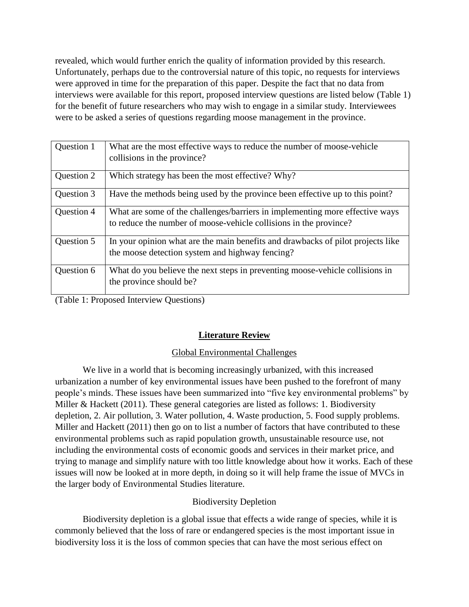revealed, which would further enrich the quality of information provided by this research. Unfortunately, perhaps due to the controversial nature of this topic, no requests for interviews were approved in time for the preparation of this paper. Despite the fact that no data from interviews were available for this report, proposed interview questions are listed below (Table 1) for the benefit of future researchers who may wish to engage in a similar study. Interviewees were to be asked a series of questions regarding moose management in the province.

| Question 1 | What are the most effective ways to reduce the number of moose-vehicle          |
|------------|---------------------------------------------------------------------------------|
|            | collisions in the province?                                                     |
| Question 2 | Which strategy has been the most effective? Why?                                |
| Question 3 | Have the methods being used by the province been effective up to this point?    |
| Question 4 | What are some of the challenges/barriers in implementing more effective ways    |
|            | to reduce the number of moose-vehicle collisions in the province?               |
| Question 5 | In your opinion what are the main benefits and drawbacks of pilot projects like |
|            | the moose detection system and highway fencing?                                 |
| Question 6 | What do you believe the next steps in preventing moose-vehicle collisions in    |
|            | the province should be?                                                         |
|            |                                                                                 |

(Table 1: Proposed Interview Questions)

# **Literature Review**

# Global Environmental Challenges

We live in a world that is becoming increasingly urbanized, with this increased urbanization a number of key environmental issues have been pushed to the forefront of many people's minds. These issues have been summarized into "five key environmental problems" by Miller & Hackett (2011). These general categories are listed as follows: 1. Biodiversity depletion, 2. Air pollution, 3. Water pollution, 4. Waste production, 5. Food supply problems. Miller and Hackett (2011) then go on to list a number of factors that have contributed to these environmental problems such as rapid population growth, unsustainable resource use, not including the environmental costs of economic goods and services in their market price, and trying to manage and simplify nature with too little knowledge about how it works. Each of these issues will now be looked at in more depth, in doing so it will help frame the issue of MVCs in the larger body of Environmental Studies literature.

# Biodiversity Depletion

Biodiversity depletion is a global issue that effects a wide range of species, while it is commonly believed that the loss of rare or endangered species is the most important issue in biodiversity loss it is the loss of common species that can have the most serious effect on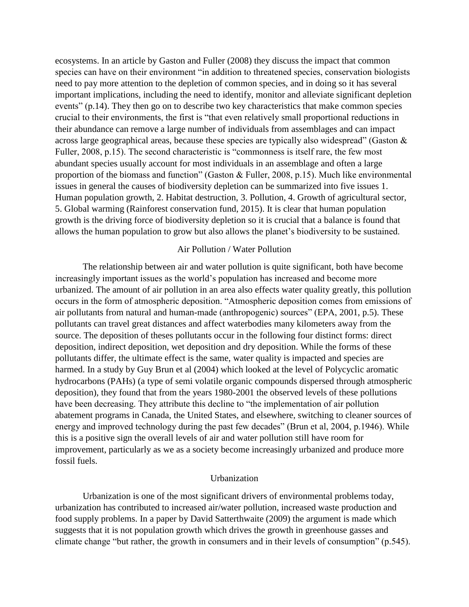ecosystems. In an article by Gaston and Fuller (2008) they discuss the impact that common species can have on their environment "in addition to threatened species, conservation biologists need to pay more attention to the depletion of common species, and in doing so it has several important implications, including the need to identify, monitor and alleviate significant depletion events" (p.14). They then go on to describe two key characteristics that make common species crucial to their environments, the first is "that even relatively small proportional reductions in their abundance can remove a large number of individuals from assemblages and can impact across large geographical areas, because these species are typically also widespread" (Gaston & Fuller, 2008, p.15). The second characteristic is "commonness is itself rare, the few most abundant species usually account for most individuals in an assemblage and often a large proportion of the biomass and function" (Gaston & Fuller, 2008, p.15). Much like environmental issues in general the causes of biodiversity depletion can be summarized into five issues 1. Human population growth, 2. Habitat destruction, 3. Pollution, 4. Growth of agricultural sector, 5. Global warming (Rainforest conservation fund, 2015). It is clear that human population growth is the driving force of biodiversity depletion so it is crucial that a balance is found that allows the human population to grow but also allows the planet's biodiversity to be sustained.

#### Air Pollution / Water Pollution

The relationship between air and water pollution is quite significant, both have become increasingly important issues as the world's population has increased and become more urbanized. The amount of air pollution in an area also effects water quality greatly, this pollution occurs in the form of atmospheric deposition. "Atmospheric deposition comes from emissions of air pollutants from natural and human-made (anthropogenic) sources" (EPA, 2001, p.5). These pollutants can travel great distances and affect waterbodies many kilometers away from the source. The deposition of theses pollutants occur in the following four distinct forms: direct deposition, indirect deposition, wet deposition and dry deposition. While the forms of these pollutants differ, the ultimate effect is the same, water quality is impacted and species are harmed. In a study by Guy Brun et al (2004) which looked at the level of Polycyclic aromatic hydrocarbons (PAHs) (a type of semi volatile organic compounds dispersed through atmospheric deposition), they found that from the years 1980-2001 the observed levels of these pollutions have been decreasing. They attribute this decline to "the implementation of air pollution abatement programs in Canada, the United States, and elsewhere, switching to cleaner sources of energy and improved technology during the past few decades" (Brun et al, 2004, p.1946). While this is a positive sign the overall levels of air and water pollution still have room for improvement, particularly as we as a society become increasingly urbanized and produce more fossil fuels.

## **Urbanization**

Urbanization is one of the most significant drivers of environmental problems today, urbanization has contributed to increased air/water pollution, increased waste production and food supply problems. In a paper by David Satterthwaite (2009) the argument is made which suggests that it is not population growth which drives the growth in greenhouse gasses and climate change "but rather, the growth in consumers and in their levels of consumption" (p.545).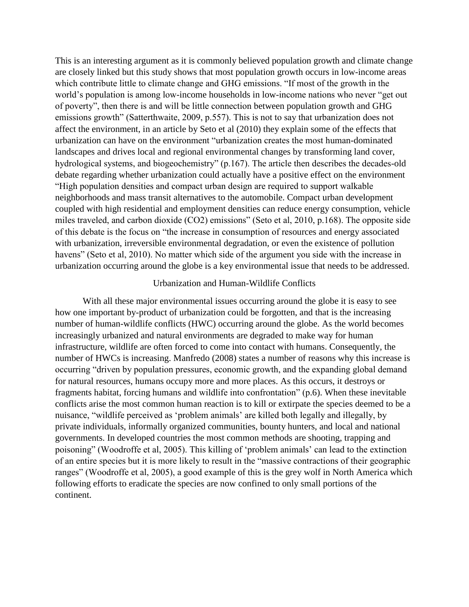This is an interesting argument as it is commonly believed population growth and climate change are closely linked but this study shows that most population growth occurs in low-income areas which contribute little to climate change and GHG emissions. "If most of the growth in the world's population is among low-income households in low-income nations who never "get out of poverty", then there is and will be little connection between population growth and GHG emissions growth" (Satterthwaite, 2009, p.557). This is not to say that urbanization does not affect the environment, in an article by Seto et al (2010) they explain some of the effects that urbanization can have on the environment "urbanization creates the most human-dominated landscapes and drives local and regional environmental changes by transforming land cover, hydrological systems, and biogeochemistry" (p.167). The article then describes the decades-old debate regarding whether urbanization could actually have a positive effect on the environment "High population densities and compact urban design are required to support walkable neighborhoods and mass transit alternatives to the automobile. Compact urban development coupled with high residential and employment densities can reduce energy consumption, vehicle miles traveled, and carbon dioxide (CO2) emissions" (Seto et al, 2010, p.168). The opposite side of this debate is the focus on "the increase in consumption of resources and energy associated with urbanization, irreversible environmental degradation, or even the existence of pollution havens" (Seto et al, 2010). No matter which side of the argument you side with the increase in urbanization occurring around the globe is a key environmental issue that needs to be addressed.

#### Urbanization and Human-Wildlife Conflicts

With all these major environmental issues occurring around the globe it is easy to see how one important by-product of urbanization could be forgotten, and that is the increasing number of human-wildlife conflicts (HWC) occurring around the globe. As the world becomes increasingly urbanized and natural environments are degraded to make way for human infrastructure, wildlife are often forced to come into contact with humans. Consequently, the number of HWCs is increasing. Manfredo (2008) states a number of reasons why this increase is occurring "driven by population pressures, economic growth, and the expanding global demand for natural resources, humans occupy more and more places. As this occurs, it destroys or fragments habitat, forcing humans and wildlife into confrontation" (p.6). When these inevitable conflicts arise the most common human reaction is to kill or extirpate the species deemed to be a nuisance, "wildlife perceived as 'problem animals' are killed both legally and illegally, by private individuals, informally organized communities, bounty hunters, and local and national governments. In developed countries the most common methods are shooting, trapping and poisoning" (Woodroffe et al, 2005). This killing of 'problem animals' can lead to the extinction of an entire species but it is more likely to result in the "massive contractions of their geographic ranges" (Woodroffe et al, 2005), a good example of this is the grey wolf in North America which following efforts to eradicate the species are now confined to only small portions of the continent.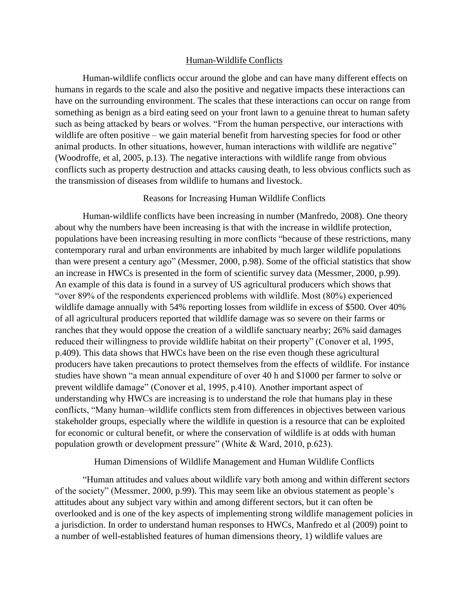### Human-Wildlife Conflicts

Human-wildlife conflicts occur around the globe and can have many different effects on humans in regards to the scale and also the positive and negative impacts these interactions can have on the surrounding environment. The scales that these interactions can occur on range from something as benign as a bird eating seed on your front lawn to a genuine threat to human safety such as being attacked by bears or wolves. "From the human perspective, our interactions with wildlife are often positive – we gain material benefit from harvesting species for food or other animal products. In other situations, however, human interactions with wildlife are negative" (Woodroffe, et al, 2005, p.13). The negative interactions with wildlife range from obvious conflicts such as property destruction and attacks causing death, to less obvious conflicts such as the transmission of diseases from wildlife to humans and livestock.

## Reasons for Increasing Human Wildlife Conflicts

Human-wildlife conflicts have been increasing in number (Manfredo, 2008). One theory about why the numbers have been increasing is that with the increase in wildlife protection, populations have been increasing resulting in more conflicts "because of these restrictions, many contemporary rural and urban environments are inhabited by much larger wildlife populations than were present a century ago" (Messmer, 2000, p.98). Some of the official statistics that show an increase in HWCs is presented in the form of scientific survey data (Messmer, 2000, p.99). An example of this data is found in a survey of US agricultural producers which shows that "over 89% of the respondents experienced problems with wildlife. Most (80%) experienced wildlife damage annually with 54% reporting losses from wildlife in excess of \$500. Over 40% of all agricultural producers reported that wildlife damage was so severe on their farms or ranches that they would oppose the creation of a wildlife sanctuary nearby; 26% said damages reduced their willingness to provide wildlife habitat on their property" (Conover et al, 1995, p.409). This data shows that HWCs have been on the rise even though these agricultural producers have taken precautions to protect themselves from the effects of wildlife. For instance studies have shown "a mean annual expenditure of over 40 h and \$1000 per farmer to solve or prevent wildlife damage" (Conover et al, 1995, p.410). Another important aspect of understanding why HWCs are increasing is to understand the role that humans play in these conflicts, "Many human–wildlife conflicts stem from differences in objectives between various stakeholder groups, especially where the wildlife in question is a resource that can be exploited for economic or cultural benefit, or where the conservation of wildlife is at odds with human population growth or development pressure" (White & Ward, 2010, p.623).

Human Dimensions of Wildlife Management and Human Wildlife Conflicts

"Human attitudes and values about wildlife vary both among and within different sectors of the society" (Messmer, 2000, p.99). This may seem like an obvious statement as people's attitudes about any subject vary within and among different sectors, but it can often be overlooked and is one of the key aspects of implementing strong wildlife management policies in a jurisdiction. In order to understand human responses to HWCs, Manfredo et al (2009) point to a number of well-established features of human dimensions theory, 1) wildlife values are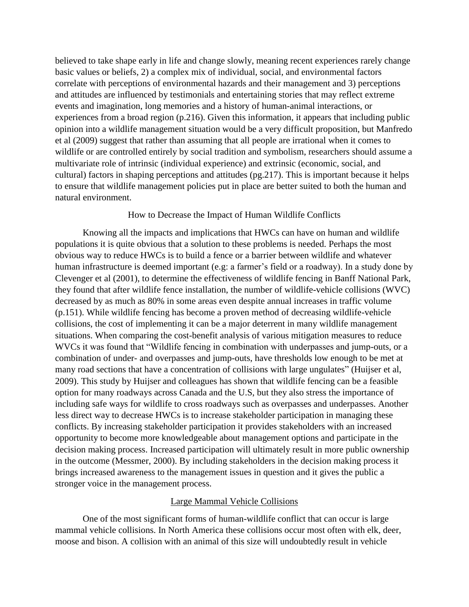believed to take shape early in life and change slowly, meaning recent experiences rarely change basic values or beliefs, 2) a complex mix of individual, social, and environmental factors correlate with perceptions of environmental hazards and their management and 3) perceptions and attitudes are influenced by testimonials and entertaining stories that may reflect extreme events and imagination, long memories and a history of human-animal interactions, or experiences from a broad region (p.216). Given this information, it appears that including public opinion into a wildlife management situation would be a very difficult proposition, but Manfredo et al (2009) suggest that rather than assuming that all people are irrational when it comes to wildlife or are controlled entirely by social tradition and symbolism, researchers should assume a multivariate role of intrinsic (individual experience) and extrinsic (economic, social, and cultural) factors in shaping perceptions and attitudes (pg.217). This is important because it helps to ensure that wildlife management policies put in place are better suited to both the human and natural environment.

## How to Decrease the Impact of Human Wildlife Conflicts

Knowing all the impacts and implications that HWCs can have on human and wildlife populations it is quite obvious that a solution to these problems is needed. Perhaps the most obvious way to reduce HWCs is to build a fence or a barrier between wildlife and whatever human infrastructure is deemed important (e.g: a farmer's field or a roadway). In a study done by Clevenger et al (2001), to determine the effectiveness of wildlife fencing in Banff National Park, they found that after wildlife fence installation, the number of wildlife-vehicle collisions (WVC) decreased by as much as 80% in some areas even despite annual increases in traffic volume (p.151). While wildlife fencing has become a proven method of decreasing wildlife-vehicle collisions, the cost of implementing it can be a major deterrent in many wildlife management situations. When comparing the cost-benefit analysis of various mitigation measures to reduce WVCs it was found that "Wildlife fencing in combination with underpasses and jump-outs, or a combination of under- and overpasses and jump-outs, have thresholds low enough to be met at many road sections that have a concentration of collisions with large ungulates" (Huijser et al, 2009). This study by Huijser and colleagues has shown that wildlife fencing can be a feasible option for many roadways across Canada and the U.S, but they also stress the importance of including safe ways for wildlife to cross roadways such as overpasses and underpasses. Another less direct way to decrease HWCs is to increase stakeholder participation in managing these conflicts. By increasing stakeholder participation it provides stakeholders with an increased opportunity to become more knowledgeable about management options and participate in the decision making process. Increased participation will ultimately result in more public ownership in the outcome (Messmer, 2000). By including stakeholders in the decision making process it brings increased awareness to the management issues in question and it gives the public a stronger voice in the management process.

# Large Mammal Vehicle Collisions

One of the most significant forms of human-wildlife conflict that can occur is large mammal vehicle collisions. In North America these collisions occur most often with elk, deer, moose and bison. A collision with an animal of this size will undoubtedly result in vehicle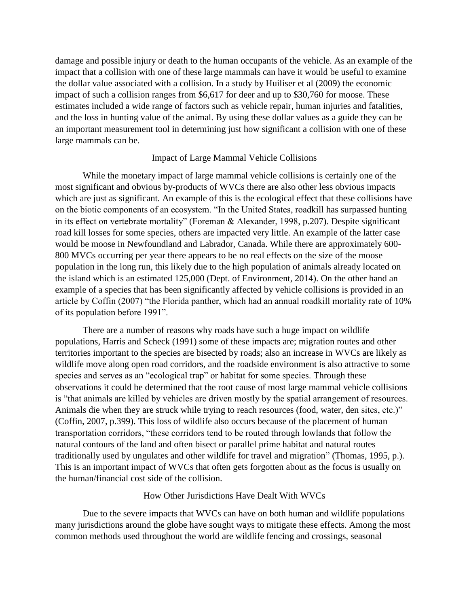damage and possible injury or death to the human occupants of the vehicle. As an example of the impact that a collision with one of these large mammals can have it would be useful to examine the dollar value associated with a collision. In a study by Huiliser et al (2009) the economic impact of such a collision ranges from \$6,617 for deer and up to \$30,760 for moose. These estimates included a wide range of factors such as vehicle repair, human injuries and fatalities, and the loss in hunting value of the animal. By using these dollar values as a guide they can be an important measurement tool in determining just how significant a collision with one of these large mammals can be.

# Impact of Large Mammal Vehicle Collisions

While the monetary impact of large mammal vehicle collisions is certainly one of the most significant and obvious by-products of WVCs there are also other less obvious impacts which are just as significant. An example of this is the ecological effect that these collisions have on the biotic components of an ecosystem. "In the United States, roadkill has surpassed hunting in its effect on vertebrate mortality" (Foreman & Alexander, 1998, p.207). Despite significant road kill losses for some species, others are impacted very little. An example of the latter case would be moose in Newfoundland and Labrador, Canada. While there are approximately 600- 800 MVCs occurring per year there appears to be no real effects on the size of the moose population in the long run, this likely due to the high population of animals already located on the island which is an estimated 125,000 (Dept. of Environment, 2014). On the other hand an example of a species that has been significantly affected by vehicle collisions is provided in an article by Coffin (2007) "the Florida panther, which had an annual roadkill mortality rate of 10% of its population before 1991".

There are a number of reasons why roads have such a huge impact on wildlife populations, Harris and Scheck (1991) some of these impacts are; migration routes and other territories important to the species are bisected by roads; also an increase in WVCs are likely as wildlife move along open road corridors, and the roadside environment is also attractive to some species and serves as an "ecological trap" or habitat for some species. Through these observations it could be determined that the root cause of most large mammal vehicle collisions is "that animals are killed by vehicles are driven mostly by the spatial arrangement of resources. Animals die when they are struck while trying to reach resources (food, water, den sites, etc.)" (Coffin, 2007, p.399). This loss of wildlife also occurs because of the placement of human transportation corridors, "these corridors tend to be routed through lowlands that follow the natural contours of the land and often bisect or parallel prime habitat and natural routes traditionally used by ungulates and other wildlife for travel and migration" (Thomas, 1995, p.). This is an important impact of WVCs that often gets forgotten about as the focus is usually on the human/financial cost side of the collision.

## How Other Jurisdictions Have Dealt With WVCs

Due to the severe impacts that WVCs can have on both human and wildlife populations many jurisdictions around the globe have sought ways to mitigate these effects. Among the most common methods used throughout the world are wildlife fencing and crossings, seasonal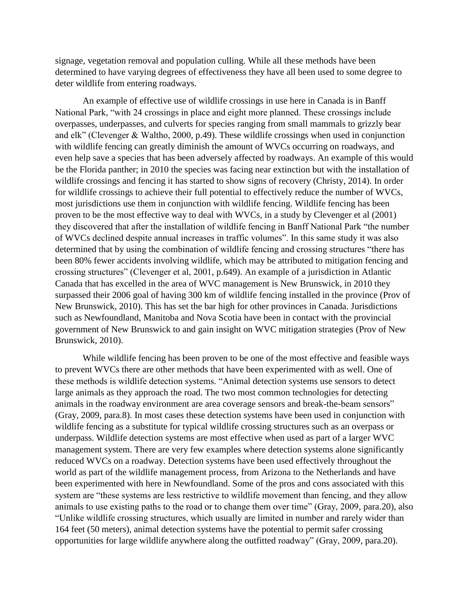signage, vegetation removal and population culling. While all these methods have been determined to have varying degrees of effectiveness they have all been used to some degree to deter wildlife from entering roadways.

An example of effective use of wildlife crossings in use here in Canada is in Banff National Park, "with 24 crossings in place and eight more planned. These crossings include overpasses, underpasses, and culverts for species ranging from small mammals to grizzly bear and elk" (Clevenger & Waltho, 2000, p.49). These wildlife crossings when used in conjunction with wildlife fencing can greatly diminish the amount of WVCs occurring on roadways, and even help save a species that has been adversely affected by roadways. An example of this would be the Florida panther; in 2010 the species was facing near extinction but with the installation of wildlife crossings and fencing it has started to show signs of recovery (Christy, 2014). In order for wildlife crossings to achieve their full potential to effectively reduce the number of WVCs, most jurisdictions use them in conjunction with wildlife fencing. Wildlife fencing has been proven to be the most effective way to deal with WVCs, in a study by Clevenger et al (2001) they discovered that after the installation of wildlife fencing in Banff National Park "the number of WVCs declined despite annual increases in traffic volumes". In this same study it was also determined that by using the combination of wildlife fencing and crossing structures "there has been 80% fewer accidents involving wildlife, which may be attributed to mitigation fencing and crossing structures" (Clevenger et al, 2001, p.649). An example of a jurisdiction in Atlantic Canada that has excelled in the area of WVC management is New Brunswick, in 2010 they surpassed their 2006 goal of having 300 km of wildlife fencing installed in the province (Prov of New Brunswick, 2010). This has set the bar high for other provinces in Canada. Jurisdictions such as Newfoundland, Manitoba and Nova Scotia have been in contact with the provincial government of New Brunswick to and gain insight on WVC mitigation strategies (Prov of New Brunswick, 2010).

While wildlife fencing has been proven to be one of the most effective and feasible ways to prevent WVCs there are other methods that have been experimented with as well. One of these methods is wildlife detection systems. "Animal detection systems use sensors to detect large animals as they approach the road. The two most common technologies for detecting animals in the roadway environment are area coverage sensors and break-the-beam sensors" (Gray, 2009, para.8). In most cases these detection systems have been used in conjunction with wildlife fencing as a substitute for typical wildlife crossing structures such as an overpass or underpass. Wildlife detection systems are most effective when used as part of a larger WVC management system. There are very few examples where detection systems alone significantly reduced WVCs on a roadway. Detection systems have been used effectively throughout the world as part of the wildlife management process, from Arizona to the Netherlands and have been experimented with here in Newfoundland. Some of the pros and cons associated with this system are "these systems are less restrictive to wildlife movement than fencing, and they allow animals to use existing paths to the road or to change them over time" (Gray, 2009, para.20), also "Unlike wildlife crossing structures, which usually are limited in number and rarely wider than 164 feet (50 meters), animal detection systems have the potential to permit safer crossing opportunities for large wildlife anywhere along the outfitted roadway" (Gray, 2009, para.20).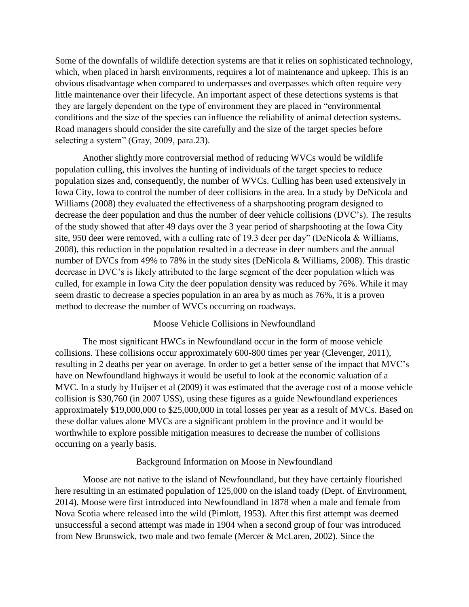Some of the downfalls of wildlife detection systems are that it relies on sophisticated technology, which, when placed in harsh environments, requires a lot of maintenance and upkeep. This is an obvious disadvantage when compared to underpasses and overpasses which often require very little maintenance over their lifecycle. An important aspect of these detections systems is that they are largely dependent on the type of environment they are placed in "environmental conditions and the size of the species can influence the reliability of animal detection systems. Road managers should consider the site carefully and the size of the target species before selecting a system" (Gray, 2009, para.23).

Another slightly more controversial method of reducing WVCs would be wildlife population culling, this involves the hunting of individuals of the target species to reduce population sizes and, consequently, the number of WVCs. Culling has been used extensively in Iowa City, Iowa to control the number of deer collisions in the area. In a study by DeNicola and Williams (2008) they evaluated the effectiveness of a sharpshooting program designed to decrease the deer population and thus the number of deer vehicle collisions (DVC's). The results of the study showed that after 49 days over the 3 year period of sharpshooting at the Iowa City site, 950 deer were removed, with a culling rate of 19.3 deer per day" (DeNicola & Williams, 2008), this reduction in the population resulted in a decrease in deer numbers and the annual number of DVCs from 49% to 78% in the study sites (DeNicola & Williams, 2008). This drastic decrease in DVC's is likely attributed to the large segment of the deer population which was culled, for example in Iowa City the deer population density was reduced by 76%. While it may seem drastic to decrease a species population in an area by as much as 76%, it is a proven method to decrease the number of WVCs occurring on roadways.

# Moose Vehicle Collisions in Newfoundland

The most significant HWCs in Newfoundland occur in the form of moose vehicle collisions. These collisions occur approximately 600-800 times per year (Clevenger, 2011), resulting in 2 deaths per year on average. In order to get a better sense of the impact that MVC's have on Newfoundland highways it would be useful to look at the economic valuation of a MVC. In a study by Huijser et al (2009) it was estimated that the average cost of a moose vehicle collision is \$30,760 (in 2007 US\$), using these figures as a guide Newfoundland experiences approximately \$19,000,000 to \$25,000,000 in total losses per year as a result of MVCs. Based on these dollar values alone MVCs are a significant problem in the province and it would be worthwhile to explore possible mitigation measures to decrease the number of collisions occurring on a yearly basis.

## Background Information on Moose in Newfoundland

Moose are not native to the island of Newfoundland, but they have certainly flourished here resulting in an estimated population of 125,000 on the island toady (Dept. of Environment, 2014). Moose were first introduced into Newfoundland in 1878 when a male and female from Nova Scotia where released into the wild (Pimlott, 1953). After this first attempt was deemed unsuccessful a second attempt was made in 1904 when a second group of four was introduced from New Brunswick, two male and two female (Mercer & McLaren, 2002). Since the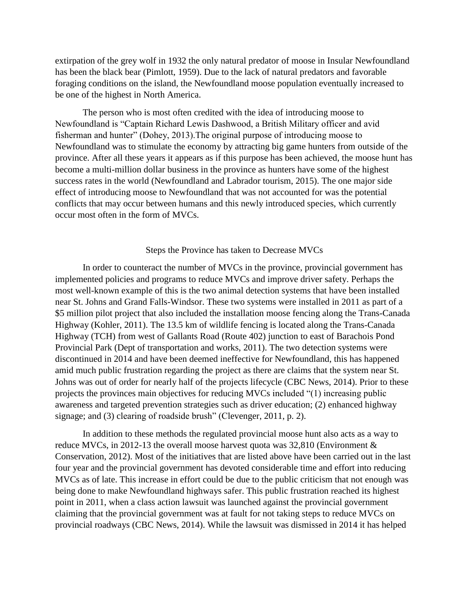extirpation of the grey wolf in 1932 the only natural predator of moose in Insular Newfoundland has been the black bear (Pimlott, 1959). Due to the lack of natural predators and favorable foraging conditions on the island, the Newfoundland moose population eventually increased to be one of the highest in North America.

The person who is most often credited with the idea of introducing moose to Newfoundland is "Captain Richard Lewis Dashwood, a British Military officer and avid fisherman and hunter" (Dohey, 2013).The original purpose of introducing moose to Newfoundland was to stimulate the economy by attracting big game hunters from outside of the province. After all these years it appears as if this purpose has been achieved, the moose hunt has become a multi-million dollar business in the province as hunters have some of the highest success rates in the world (Newfoundland and Labrador tourism, 2015). The one major side effect of introducing moose to Newfoundland that was not accounted for was the potential conflicts that may occur between humans and this newly introduced species, which currently occur most often in the form of MVCs.

### Steps the Province has taken to Decrease MVCs

In order to counteract the number of MVCs in the province, provincial government has implemented policies and programs to reduce MVCs and improve driver safety. Perhaps the most well-known example of this is the two animal detection systems that have been installed near St. Johns and Grand Falls-Windsor. These two systems were installed in 2011 as part of a \$5 million pilot project that also included the installation moose fencing along the Trans-Canada Highway (Kohler, 2011). The 13.5 km of wildlife fencing is located along the Trans-Canada Highway (TCH) from west of Gallants Road (Route 402) junction to east of Barachois Pond Provincial Park (Dept of transportation and works, 2011). The two detection systems were discontinued in 2014 and have been deemed ineffective for Newfoundland, this has happened amid much public frustration regarding the project as there are claims that the system near St. Johns was out of order for nearly half of the projects lifecycle (CBC News, 2014). Prior to these projects the provinces main objectives for reducing MVCs included "(1) increasing public awareness and targeted prevention strategies such as driver education; (2) enhanced highway signage; and (3) clearing of roadside brush" (Clevenger, 2011, p. 2).

In addition to these methods the regulated provincial moose hunt also acts as a way to reduce MVCs, in 2012-13 the overall moose harvest quota was 32,810 (Environment & Conservation, 2012). Most of the initiatives that are listed above have been carried out in the last four year and the provincial government has devoted considerable time and effort into reducing MVCs as of late. This increase in effort could be due to the public criticism that not enough was being done to make Newfoundland highways safer. This public frustration reached its highest point in 2011, when a class action lawsuit was launched against the provincial government claiming that the provincial government was at fault for not taking steps to reduce MVCs on provincial roadways (CBC News, 2014). While the lawsuit was dismissed in 2014 it has helped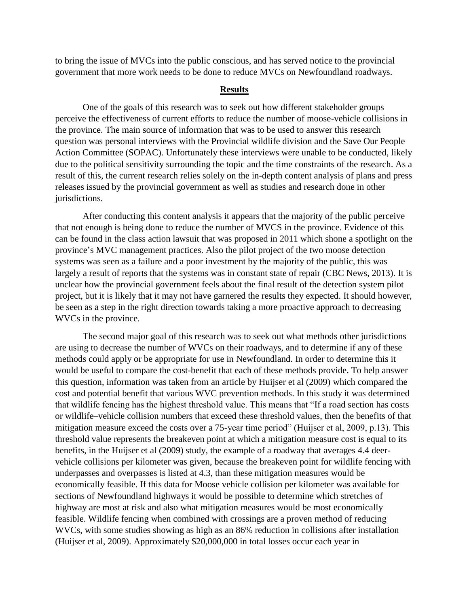to bring the issue of MVCs into the public conscious, and has served notice to the provincial government that more work needs to be done to reduce MVCs on Newfoundland roadways.

#### **Results**

One of the goals of this research was to seek out how different stakeholder groups perceive the effectiveness of current efforts to reduce the number of moose-vehicle collisions in the province. The main source of information that was to be used to answer this research question was personal interviews with the Provincial wildlife division and the Save Our People Action Committee (SOPAC). Unfortunately these interviews were unable to be conducted, likely due to the political sensitivity surrounding the topic and the time constraints of the research. As a result of this, the current research relies solely on the in-depth content analysis of plans and press releases issued by the provincial government as well as studies and research done in other jurisdictions.

After conducting this content analysis it appears that the majority of the public perceive that not enough is being done to reduce the number of MVCS in the province. Evidence of this can be found in the class action lawsuit that was proposed in 2011 which shone a spotlight on the province's MVC management practices. Also the pilot project of the two moose detection systems was seen as a failure and a poor investment by the majority of the public, this was largely a result of reports that the systems was in constant state of repair (CBC News, 2013). It is unclear how the provincial government feels about the final result of the detection system pilot project, but it is likely that it may not have garnered the results they expected. It should however, be seen as a step in the right direction towards taking a more proactive approach to decreasing WVCs in the province.

The second major goal of this research was to seek out what methods other jurisdictions are using to decrease the number of WVCs on their roadways, and to determine if any of these methods could apply or be appropriate for use in Newfoundland. In order to determine this it would be useful to compare the cost-benefit that each of these methods provide. To help answer this question, information was taken from an article by Huijser et al (2009) which compared the cost and potential benefit that various WVC prevention methods. In this study it was determined that wildlife fencing has the highest threshold value. This means that "If a road section has costs or wildlife–vehicle collision numbers that exceed these threshold values, then the benefits of that mitigation measure exceed the costs over a 75-year time period" (Huijser et al, 2009, p.13). This threshold value represents the breakeven point at which a mitigation measure cost is equal to its benefits, in the Huijser et al (2009) study, the example of a roadway that averages 4.4 deervehicle collisions per kilometer was given, because the breakeven point for wildlife fencing with underpasses and overpasses is listed at 4.3, than these mitigation measures would be economically feasible. If this data for Moose vehicle collision per kilometer was available for sections of Newfoundland highways it would be possible to determine which stretches of highway are most at risk and also what mitigation measures would be most economically feasible. Wildlife fencing when combined with crossings are a proven method of reducing WVCs, with some studies showing as high as an 86% reduction in collisions after installation (Huijser et al, 2009). Approximately \$20,000,000 in total losses occur each year in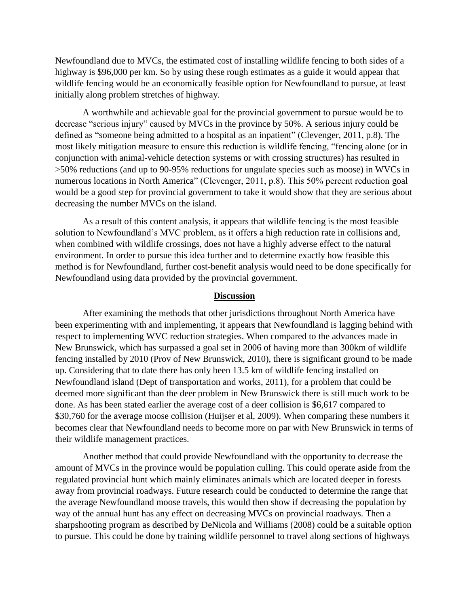Newfoundland due to MVCs, the estimated cost of installing wildlife fencing to both sides of a highway is \$96,000 per km. So by using these rough estimates as a guide it would appear that wildlife fencing would be an economically feasible option for Newfoundland to pursue, at least initially along problem stretches of highway.

A worthwhile and achievable goal for the provincial government to pursue would be to decrease "serious injury" caused by MVCs in the province by 50%. A serious injury could be defined as "someone being admitted to a hospital as an inpatient" (Clevenger, 2011, p.8). The most likely mitigation measure to ensure this reduction is wildlife fencing, "fencing alone (or in conjunction with animal-vehicle detection systems or with crossing structures) has resulted in >50% reductions (and up to 90-95% reductions for ungulate species such as moose) in WVCs in numerous locations in North America" (Clevenger, 2011, p.8). This 50% percent reduction goal would be a good step for provincial government to take it would show that they are serious about decreasing the number MVCs on the island.

As a result of this content analysis, it appears that wildlife fencing is the most feasible solution to Newfoundland's MVC problem, as it offers a high reduction rate in collisions and, when combined with wildlife crossings, does not have a highly adverse effect to the natural environment. In order to pursue this idea further and to determine exactly how feasible this method is for Newfoundland, further cost-benefit analysis would need to be done specifically for Newfoundland using data provided by the provincial government.

## **Discussion**

After examining the methods that other jurisdictions throughout North America have been experimenting with and implementing, it appears that Newfoundland is lagging behind with respect to implementing WVC reduction strategies. When compared to the advances made in New Brunswick, which has surpassed a goal set in 2006 of having more than 300km of wildlife fencing installed by 2010 (Prov of New Brunswick, 2010), there is significant ground to be made up. Considering that to date there has only been 13.5 km of wildlife fencing installed on Newfoundland island (Dept of transportation and works, 2011), for a problem that could be deemed more significant than the deer problem in New Brunswick there is still much work to be done. As has been stated earlier the average cost of a deer collision is \$6,617 compared to \$30,760 for the average moose collision (Huijser et al, 2009). When comparing these numbers it becomes clear that Newfoundland needs to become more on par with New Brunswick in terms of their wildlife management practices.

Another method that could provide Newfoundland with the opportunity to decrease the amount of MVCs in the province would be population culling. This could operate aside from the regulated provincial hunt which mainly eliminates animals which are located deeper in forests away from provincial roadways. Future research could be conducted to determine the range that the average Newfoundland moose travels, this would then show if decreasing the population by way of the annual hunt has any effect on decreasing MVCs on provincial roadways. Then a sharpshooting program as described by DeNicola and Williams (2008) could be a suitable option to pursue. This could be done by training wildlife personnel to travel along sections of highways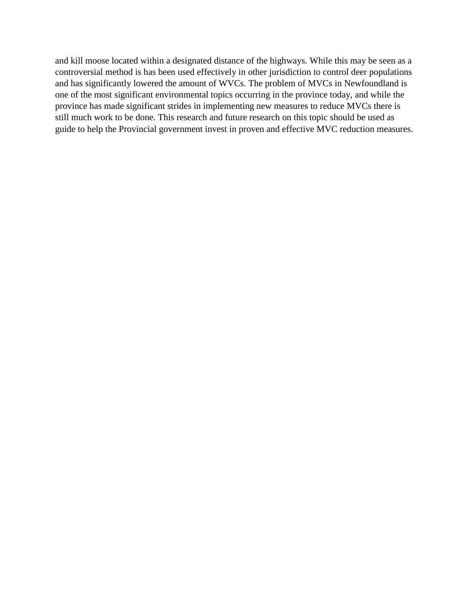and kill moose located within a designated distance of the highways. While this may be seen as a controversial method is has been used effectively in other jurisdiction to control deer populations and has significantly lowered the amount of WVCs. The problem of MVCs in Newfoundland is one of the most significant environmental topics occurring in the province today, and while the province has made significant strides in implementing new measures to reduce MVCs there is still much work to be done. This research and future research on this topic should be used as guide to help the Provincial government invest in proven and effective MVC reduction measures.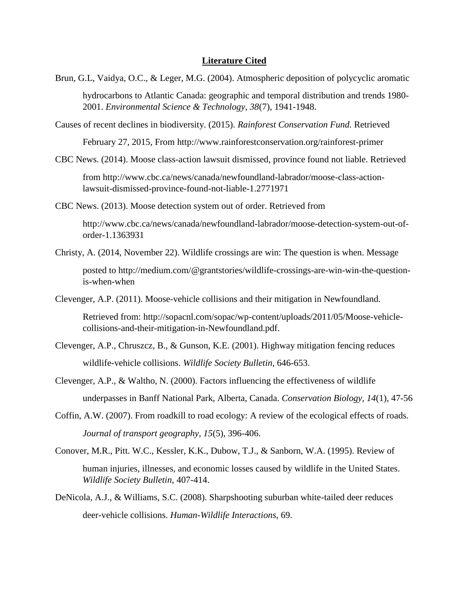#### **Literature Cited**

Brun, G.L, Vaidya, O.C., & Leger, M.G. (2004). Atmospheric deposition of polycyclic aromatic

hydrocarbons to Atlantic Canada: geographic and temporal distribution and trends 1980- 2001. *Environmental Science & Technology, 38*(7), 1941-1948.

Causes of recent declines in biodiversity. (2015). *Rainforest Conservation Fund.* Retrieved

February 27, 2015, From<http://www.rainforestconservation.org/rainforest-primer>

CBC News. (2014). Moose class-action lawsuit dismissed, province found not liable. Retrieved

from [http://www.cbc.ca/news/canada/newfoundland-labrador/moose-class-action](http://www.cbc.ca/news/canada/newfoundland-labrador/moose-class-action-lawsuit-dismissed-province-found-not-liable-1.2771971)[lawsuit-dismissed-province-found-not-liable-1.2771971](http://www.cbc.ca/news/canada/newfoundland-labrador/moose-class-action-lawsuit-dismissed-province-found-not-liable-1.2771971)

CBC News. (2013). Moose detection system out of order. Retrieved from

[http://www.cbc.ca/news/canada/newfoundland-labrador/moose-detection-system-out-of](http://www.cbc.ca/news/canada/newfoundland-labrador/moose-detection-system-out-of-order-1.1363931)[order-1.1363931](http://www.cbc.ca/news/canada/newfoundland-labrador/moose-detection-system-out-of-order-1.1363931)

Christy, A. (2014, November 22). Wildlife crossings are win: The question is when. Message

posted to [http://medium.com/@grantstories/wildlife-crossings-are-win-win-the-question](http://medium.com/@grantstories/wildlife-crossings-are-win-win-the-question-is-when-when)[is-when-when](http://medium.com/@grantstories/wildlife-crossings-are-win-win-the-question-is-when-when)

Clevenger, A.P. (2011). Moose-vehicle collisions and their mitigation in Newfoundland.

Retrieved from: [http://sopacnl.com/sopac/wp-content/uploads/2011/05/Moose-vehicle](http://sopacnl.com/sopac/wp-content/uploads/2011/05/Moose-vehicle-collisions-and-their-mitigation-in-Newfoundland.pdf)[collisions-and-their-mitigation-in-Newfoundland.pdf.](http://sopacnl.com/sopac/wp-content/uploads/2011/05/Moose-vehicle-collisions-and-their-mitigation-in-Newfoundland.pdf)

- Clevenger, A.P., Chruszcz, B., & Gunson, K.E. (2001). Highway mitigation fencing reduces wildlife-vehicle collisions. *Wildlife Society Bulletin*, 646-653.
- Clevenger, A.P., & Waltho, N. (2000). Factors influencing the effectiveness of wildlife underpasses in Banff National Park, Alberta, Canada. *Conservation Biology, 14*(1), 47-56
- Coffin, A.W. (2007). From roadkill to road ecology: A review of the ecological effects of roads. *Journal of transport geography, 15*(5), 396-406.
- Conover, M.R., Pitt. W.C., Kessler, K.K., Dubow, T.J., & Sanborn, W.A. (1995). Review of human injuries, illnesses, and economic losses caused by wildlife in the United States. *Wildlife Society Bulletin,* 407-414.
- DeNicola, A.J., & Williams, S.C. (2008). Sharpshooting suburban white-tailed deer reduces deer-vehicle collisions. *Human-Wildlife Interactions,* 69.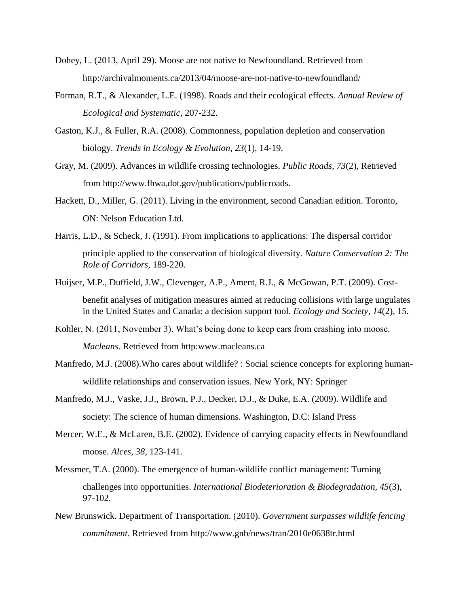- Dohey, L. (2013, April 29). Moose are not native to Newfoundland. Retrieved from <http://archivalmoments.ca/2013/04/moose-are-not-native-to-newfoundland/>
- Forman, R.T., & Alexander, L.E. (1998). Roads and their ecological effects. *Annual Review of Ecological and Systematic,* 207-232.
- Gaston, K.J., & Fuller, R.A. (2008). Commonness, population depletion and conservation biology. *Trends in Ecology & Evolution, 23*(1), 14-19.
- Gray, M. (2009). Advances in wildlife crossing technologies. *Public Roads, 73*(2), Retrieved from [http://www.fhwa.dot.gov/publications/publicroads.](http://www.fhwa.dot.gov/publications/publicroads)
- Hackett, D., Miller, G. (2011). Living in the environment, second Canadian edition. Toronto, ON: Nelson Education Ltd.
- Harris, L.D., & Scheck, J. (1991). From implications to applications: The dispersal corridor principle applied to the conservation of biological diversity. *Nature Conservation 2: The Role of Corridors*, 189-220.
- Huijser, M.P., Duffield, J.W., Clevenger, A.P., Ament, R.J., & McGowan, P.T. (2009). Costbenefit analyses of mitigation measures aimed at reducing collisions with large ungulates in the United States and Canada: a decision support tool. *Ecology and Society, 14*(2), 15.
- Kohler, N. (2011, November 3). What's being done to keep cars from crashing into moose. *Macleans.* Retrieved from http:www.macleans.ca
- Manfredo, M.J. (2008).Who cares about wildlife? : Social science concepts for exploring humanwildlife relationships and conservation issues. New York, NY: Springer
- Manfredo, M.J., Vaske, J.J., Brown, P.J., Decker, D.J., & Duke, E.A. (2009). Wildlife and society: The science of human dimensions. Washington, D.C: Island Press
- Mercer, W.E., & McLaren, B.E. (2002). Evidence of carrying capacity effects in Newfoundland moose. *Alces, 38*, 123-141.
- Messmer, T.A. (2000). The emergence of human-wildlife conflict management: Turning challenges into opportunities. *International Biodeterioration & Biodegradation, 45*(3), 97-102.
- New Brunswick. Department of Transportation. (2010). *Government surpasses wildlife fencing commitment.* Retrieved from<http://www.gnb/news/tran/2010e0638tr.html>